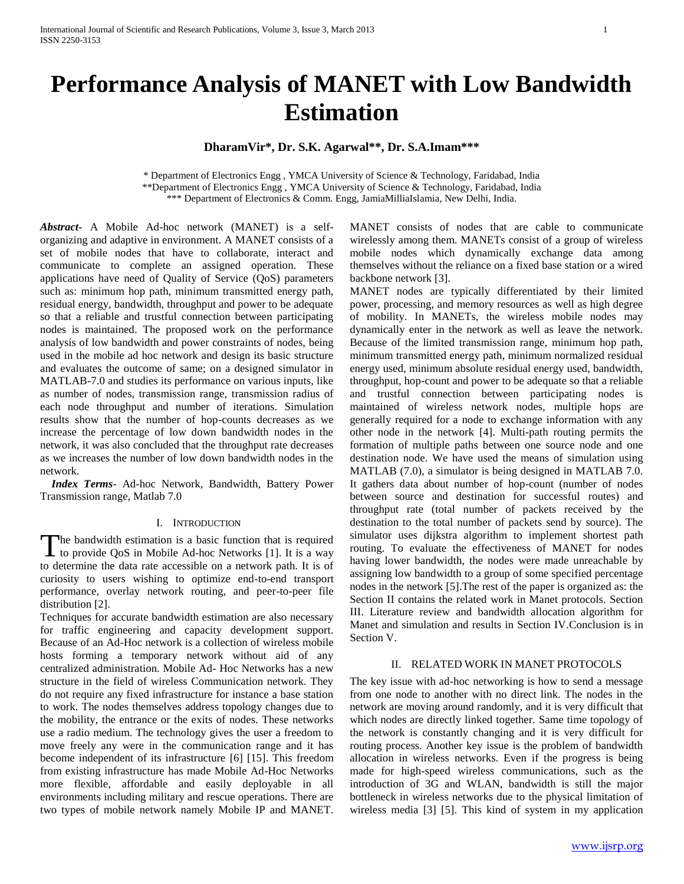# **Performance Analysis of MANET with Low Bandwidth Estimation**

# **DharamVir\*, Dr. S.K. Agarwal\*\*, Dr. S.A.Imam\*\*\***

\* Department of Electronics Engg , YMCA University of Science & Technology, Faridabad, India \*\*Department of Electronics Engg , YMCA University of Science & Technology, Faridabad, India \*\*\* Department of Electronics & Comm. Engg, JamiaMilliaIslamia, New Delhi, India.

*Abstract***-** A Mobile Ad-hoc network (MANET) is a selforganizing and adaptive in environment. A MANET consists of a set of mobile nodes that have to collaborate, interact and communicate to complete an assigned operation. These applications have need of Quality of Service (QoS) parameters such as: minimum hop path, minimum transmitted energy path, residual energy, bandwidth, throughput and power to be adequate so that a reliable and trustful connection between participating nodes is maintained. The proposed work on the performance analysis of low bandwidth and power constraints of nodes, being used in the mobile ad hoc network and design its basic structure and evaluates the outcome of same; on a designed simulator in MATLAB-7.0 and studies its performance on various inputs, like as number of nodes, transmission range, transmission radius of each node throughput and number of iterations. Simulation results show that the number of hop-counts decreases as we increase the percentage of low down bandwidth nodes in the network, it was also concluded that the throughput rate decreases as we increases the number of low down bandwidth nodes in the network.

 *Index Terms*- Ad-hoc Network, Bandwidth, Battery Power Transmission range, Matlab 7.0

# I. INTRODUCTION

The bandwidth estimation is a basic function that is required<br>to provide QoS in Mobile Ad-hoc Networks [1]. It is a way  $\perp$  to provide QoS in Mobile Ad-hoc Networks [1]. It is a way to determine the data rate accessible on a network path. It is of curiosity to users wishing to optimize end-to-end transport performance, overlay network routing, and peer-to-peer file distribution [2].

Techniques for accurate bandwidth estimation are also necessary for traffic engineering and capacity development support. Because of an Ad-Hoc network is a collection of wireless mobile hosts forming a temporary network without aid of any centralized administration. Mobile Ad- Hoc Networks has a new structure in the field of wireless Communication network. They do not require any fixed infrastructure for instance a base station to work. The nodes themselves address topology changes due to the mobility, the entrance or the exits of nodes. These networks use a radio medium. The technology gives the user a freedom to move freely any were in the communication range and it has become independent of its infrastructure [6] [15]. This freedom from existing infrastructure has made Mobile Ad-Hoc Networks more flexible, affordable and easily deployable in all environments including military and rescue operations. There are two types of mobile network namely Mobile IP and MANET.

MANET consists of nodes that are cable to communicate wirelessly among them. MANETs consist of a group of wireless mobile nodes which dynamically exchange data among themselves without the reliance on a fixed base station or a wired backbone network [3].

MANET nodes are typically differentiated by their limited power, processing, and memory resources as well as high degree of mobility. In MANETs, the wireless mobile nodes may dynamically enter in the network as well as leave the network. Because of the limited transmission range, minimum hop path, minimum transmitted energy path, minimum normalized residual energy used, minimum absolute residual energy used, bandwidth, throughput, hop-count and power to be adequate so that a reliable and trustful connection between participating nodes is maintained of wireless network nodes, multiple hops are generally required for a node to exchange information with any other node in the network [4]. Multi-path routing permits the formation of multiple paths between one source node and one destination node. We have used the means of simulation using MATLAB (7.0), a simulator is being designed in MATLAB 7.0. It gathers data about number of hop-count (number of nodes between source and destination for successful routes) and throughput rate (total number of packets received by the destination to the total number of packets send by source). The simulator uses dijkstra algorithm to implement shortest path routing. To evaluate the effectiveness of MANET for nodes having lower bandwidth, the nodes were made unreachable by assigning low bandwidth to a group of some specified percentage nodes in the network [5].The rest of the paper is organized as: the Section II contains the related work in Manet protocols. Section III. Literature review and bandwidth allocation algorithm for Manet and simulation and results in Section IV.Conclusion is in Section V.

## II. RELATED WORK IN MANET PROTOCOLS

The key issue with ad-hoc networking is how to send a message from one node to another with no direct link. The nodes in the network are moving around randomly, and it is very difficult that which nodes are directly linked together. Same time topology of the network is constantly changing and it is very difficult for routing process. Another key issue is the problem of bandwidth allocation in wireless networks. Even if the progress is being made for high-speed wireless communications, such as the introduction of 3G and WLAN, bandwidth is still the major bottleneck in wireless networks due to the physical limitation of wireless media [3] [5]. This kind of system in my application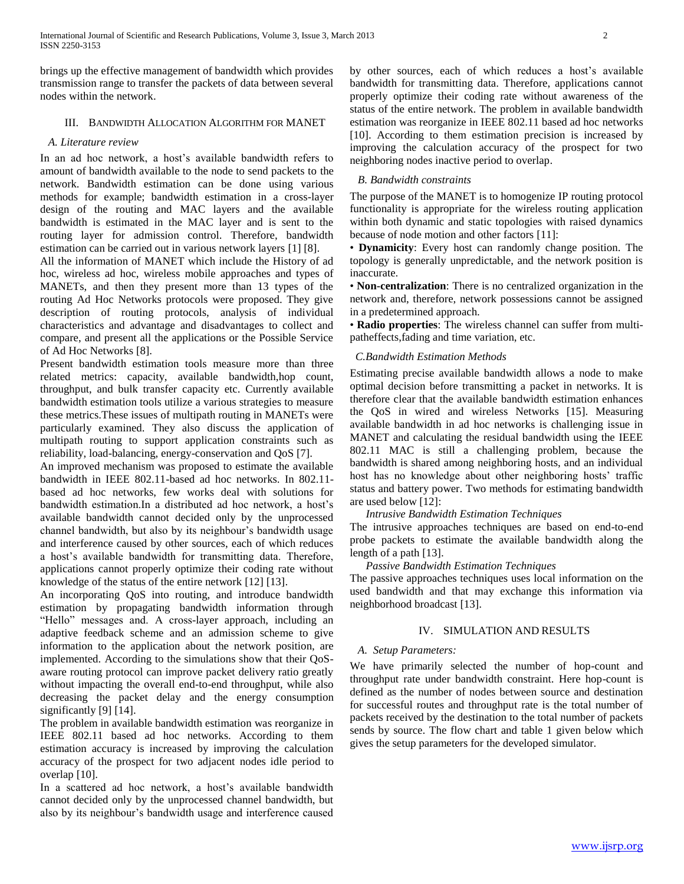brings up the effective management of bandwidth which provides transmission range to transfer the packets of data between several nodes within the network.

# III. BANDWIDTH ALLOCATION ALGORITHM FOR MANET

# *A. Literature review*

In an ad hoc network, a host's available bandwidth refers to amount of bandwidth available to the node to send packets to the network. Bandwidth estimation can be done using various methods for example; bandwidth estimation in a cross-layer design of the routing and MAC layers and the available bandwidth is estimated in the MAC layer and is sent to the routing layer for admission control. Therefore, bandwidth estimation can be carried out in various network layers [1] [8].

All the information of MANET which include the History of ad hoc, wireless ad hoc, wireless mobile approaches and types of MANETs, and then they present more than 13 types of the routing Ad Hoc Networks protocols were proposed. They give description of routing protocols, analysis of individual characteristics and advantage and disadvantages to collect and compare, and present all the applications or the Possible Service of Ad Hoc Networks [8].

Present bandwidth estimation tools measure more than three related metrics: capacity, available bandwidth,hop count, throughput, and bulk transfer capacity etc. Currently available bandwidth estimation tools utilize a various strategies to measure these metrics.These issues of multipath routing in MANETs were particularly examined. They also discuss the application of multipath routing to support application constraints such as reliability, load-balancing, energy-conservation and QoS [7].

An improved mechanism was proposed to estimate the available bandwidth in IEEE 802.11-based ad hoc networks. In 802.11 based ad hoc networks, few works deal with solutions for bandwidth estimation.In a distributed ad hoc network, a host's available bandwidth cannot decided only by the unprocessed channel bandwidth, but also by its neighbour's bandwidth usage and interference caused by other sources, each of which reduces a host's available bandwidth for transmitting data. Therefore, applications cannot properly optimize their coding rate without knowledge of the status of the entire network [12] [13].

An incorporating QoS into routing, and introduce bandwidth estimation by propagating bandwidth information through "Hello" messages and. A cross-layer approach, including an adaptive feedback scheme and an admission scheme to give information to the application about the network position, are implemented. According to the simulations show that their QoSaware routing protocol can improve packet delivery ratio greatly without impacting the overall end-to-end throughput, while also decreasing the packet delay and the energy consumption significantly [9] [14].

The problem in available bandwidth estimation was reorganize in IEEE 802.11 based ad hoc networks. According to them estimation accuracy is increased by improving the calculation accuracy of the prospect for two adjacent nodes idle period to overlap [10].

In a scattered ad hoc network, a host's available bandwidth cannot decided only by the unprocessed channel bandwidth, but also by its neighbour's bandwidth usage and interference caused by other sources, each of which reduces a host's available bandwidth for transmitting data. Therefore, applications cannot properly optimize their coding rate without awareness of the status of the entire network. The problem in available bandwidth estimation was reorganize in IEEE 802.11 based ad hoc networks [10]. According to them estimation precision is increased by improving the calculation accuracy of the prospect for two neighboring nodes inactive period to overlap.

# *B. Bandwidth constraints*

The purpose of the MANET is to homogenize IP routing protocol functionality is appropriate for the wireless routing application within both dynamic and static topologies with raised dynamics because of node motion and other factors [11]:

• **Dynamicity**: Every host can randomly change position. The topology is generally unpredictable, and the network position is inaccurate.

• **Non-centralization**: There is no centralized organization in the network and, therefore, network possessions cannot be assigned in a predetermined approach.

• **Radio properties**: The wireless channel can suffer from multipatheffects,fading and time variation, etc.

## *C.Bandwidth Estimation Methods*

Estimating precise available bandwidth allows a node to make optimal decision before transmitting a packet in networks. It is therefore clear that the available bandwidth estimation enhances the QoS in wired and wireless Networks [15]. Measuring available bandwidth in ad hoc networks is challenging issue in MANET and calculating the residual bandwidth using the IEEE 802.11 MAC is still a challenging problem, because the bandwidth is shared among neighboring hosts, and an individual host has no knowledge about other neighboring hosts' traffic status and battery power. Two methods for estimating bandwidth are used below [12]:

*Intrusive Bandwidth Estimation Techniques* 

The intrusive approaches techniques are based on end-to-end probe packets to estimate the available bandwidth along the length of a path [13].

# *Passive Bandwidth Estimation Techniques*

The passive approaches techniques uses local information on the used bandwidth and that may exchange this information via neighborhood broadcast [13].

#### IV. SIMULATION AND RESULTS

## *A. Setup Parameters:*

We have primarily selected the number of hop-count and throughput rate under bandwidth constraint. Here hop-count is defined as the number of nodes between source and destination for successful routes and throughput rate is the total number of packets received by the destination to the total number of packets sends by source. The flow chart and table 1 given below which gives the setup parameters for the developed simulator.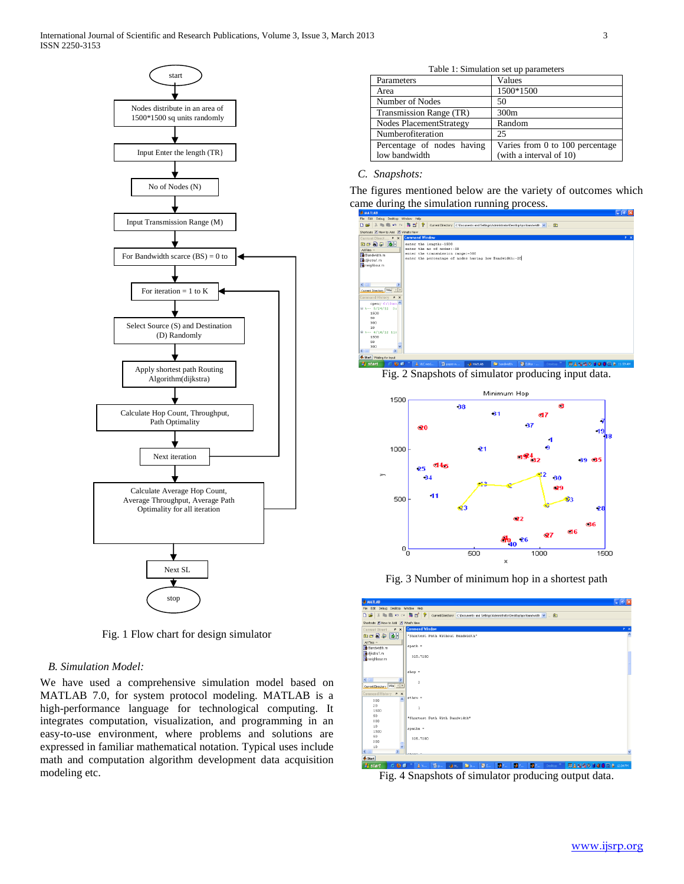

Fig. 1 Flow chart for design simulator

# *B. Simulation Model:*

We have used a comprehensive simulation model based on MATLAB 7.0, for system protocol modeling. MATLAB is a high-performance language for technological computing. It integrates computation, visualization, and programming in an easy-to-use environment, where problems and solutions are expressed in familiar mathematical notation. Typical uses include math and computation algorithm development data acquisition modeling etc.

| Table 1: Simulation set up parameters |                                 |
|---------------------------------------|---------------------------------|
| Parameters                            | Values                          |
| Area                                  | 1500*1500                       |
| Number of Nodes                       | 50                              |
| Transmission Range (TR)               | 300 <sub>m</sub>                |
| Nodes PlacementStrategy               | Random                          |
| Numberofiteration                     | 25                              |
| Percentage of nodes having            | Varies from 0 to 100 percentage |

(with a interval of 10)

#### *C. Snapshots:*

low bandwidth

The figures mentioned below are the variety of outcomes which came during the simulation running process.



Fig. 2 Snapshots of simulator producing input data.



Fig. 3 Number of minimum hop in a shortest path

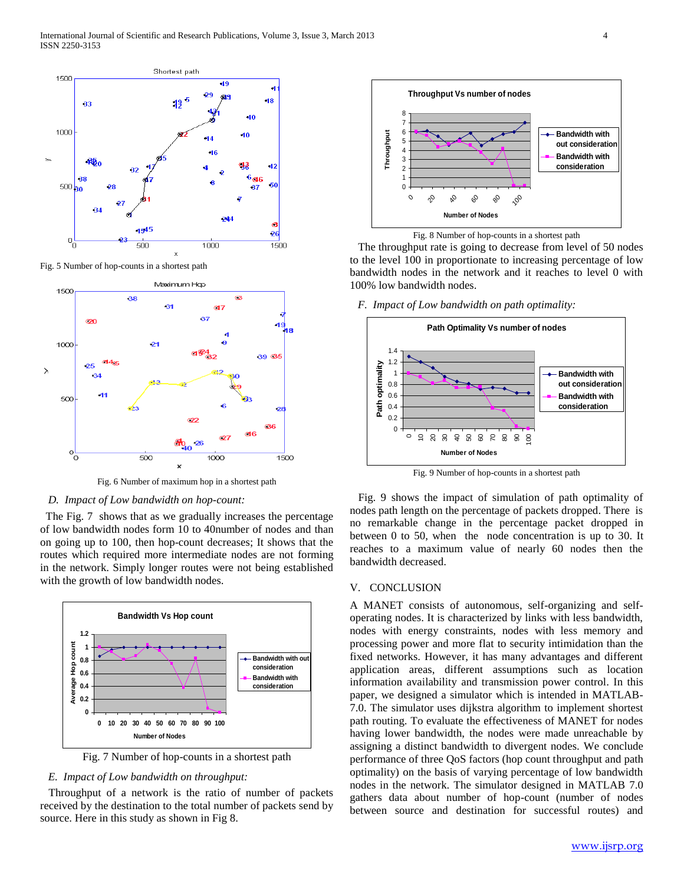

Fig. 5 Number of hop-counts in a shortest path



Fig. 6 Number of maximum hop in a shortest path

#### *D. Impact of Low bandwidth on hop-count:*

 The Fig. 7 shows that as we gradually increases the percentage of low bandwidth nodes form 10 to 40number of nodes and than on going up to 100, then hop-count decreases; It shows that the routes which required more intermediate nodes are not forming in the network. Simply longer routes were not being established with the growth of low bandwidth nodes.



Fig. 7 Number of hop-counts in a shortest path

#### *E. Impact of Low bandwidth on throughput:*

 Throughput of a network is the ratio of number of packets received by the destination to the total number of packets send by source. Here in this study as shown in Fig 8.



Fig. 8 Number of hop-counts in a shortest path

 The throughput rate is going to decrease from level of 50 nodes to the level 100 in proportionate to increasing percentage of low bandwidth nodes in the network and it reaches to level 0 with 100% low bandwidth nodes.

*F. Impact of Low bandwidth on path optimality:*



Fig. 9 Number of hop-counts in a shortest path

 Fig. 9 shows the impact of simulation of path optimality of nodes path length on the percentage of packets dropped. There is no remarkable change in the percentage packet dropped in between 0 to 50, when the node concentration is up to 30. It reaches to a maximum value of nearly 60 nodes then the bandwidth decreased.

#### V. CONCLUSION

A MANET consists of autonomous, self-organizing and selfoperating nodes. It is characterized by links with less bandwidth, nodes with energy constraints, nodes with less memory and processing power and more flat to security intimidation than the fixed networks. However, it has many advantages and different application areas, different assumptions such as location information availability and transmission power control. In this paper, we designed a simulator which is intended in MATLAB-7.0. The simulator uses dijkstra algorithm to implement shortest path routing. To evaluate the effectiveness of MANET for nodes having lower bandwidth, the nodes were made unreachable by assigning a distinct bandwidth to divergent nodes. We conclude performance of three QoS factors (hop count throughput and path optimality) on the basis of varying percentage of low bandwidth nodes in the network. The simulator designed in MATLAB 7.0 gathers data about number of hop-count (number of nodes between source and destination for successful routes) and